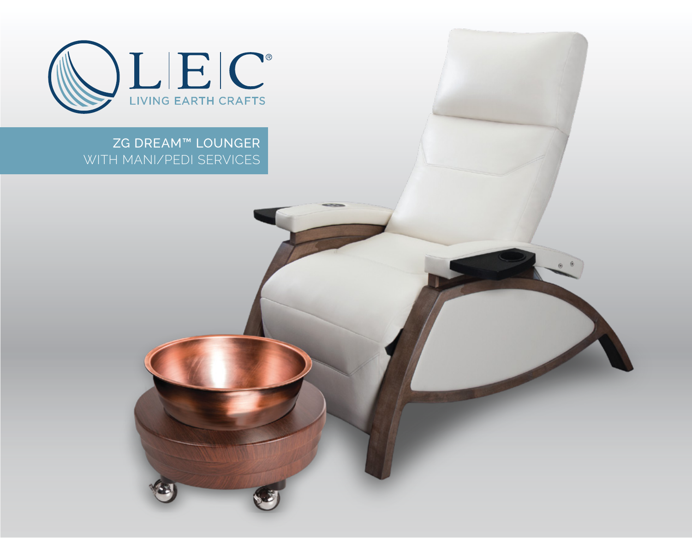

ZG DREAM™ LOUNGER WITH MANI/PEDI SERVICES